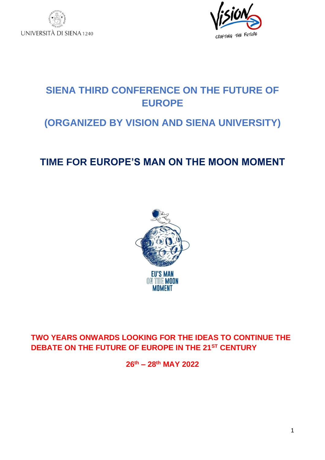



# **SIENA THIRD CONFERENCE ON THE FUTURE OF EUROPE**

## **(ORGANIZED BY VISION AND SIENA UNIVERSITY)**

# **TIME FOR EUROPE'S MAN ON THE MOON MOMENT**



### **TWO YEARS ONWARDS LOOKING FOR THE IDEAS TO CONTINUE THE DEBATE ON THE FUTURE OF EUROPE IN THE 21ST CENTURY**

**26th – 28 th MAY 2022**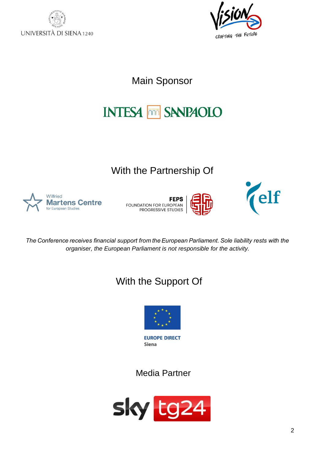



Main Sponsor

# **INTESA MM SANPAOLO**

# With the Partnership Of



**FEPS** FOUNDATION FOR EUROPEAN<br>PROGRESSIVE STUDIES





*The Conference receives financial support from the European Parliament. Sole liability rests with the organiser, the European Parliament is not responsible for the activity.*

# With the Support Of



Siena

Media Partner

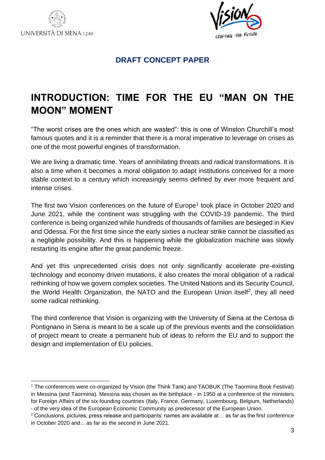



#### **DRAFT CONCEPT PAPER**

# <span id="page-2-0"></span>**INTRODUCTION: TIME FOR THE EU "MAN ON THE MOON" MOMENT**

"The worst crises are the ones which are wasted": this is one of Winston Churchill's most famous quotes and it is a reminder that there is a moral imperative to leverage on crises as one of the most powerful engines of transformation.

We are living a dramatic time. Years of annihilating threats and radical transformations. It is also a time when it becomes a moral obligation to adapt institutions conceived for a more stable context to a century which increasingly seems defined by ever more frequent and intense crises.

The first two Vision conferences on the future of Europe<sup>1</sup> took place in October 2020 and June 2021, while the continent was struggling with the COVID-19 pandemic. The third conference is being organized while hundreds of thousands of families are besieged in Kiev and Odessa. For the first time since the early sixties a nuclear strike cannot be classified as a negligible possibility. And this is happening while the globalization machine was slowly restarting its engine after the great pandemic freeze.

And yet this unprecedented crisis does not only significantly accelerate pre-existing technology and economy driven mutations, it also creates the moral obligation of a radical rethinking of how we govern complex societies. The United Nations and its Security Council, the World Health Organization, the NATO and the European Union itself<sup>2</sup>, they all need some radical rethinking.

The third conference that Vision is organizing with the University of Siena at the Certosa di Pontignano in Siena is meant to be a scale up of the previous events and the consolidation of project meant to create a permanent hub of ideas to reform the EU and to support the design and implementation of EU policies.

<sup>&</sup>lt;sup>1</sup> The conferences were co-organized by Vision (the Think Tank) and TAOBUK (The Taormina Book Festival) in Messina (and Taormina). Messina was chosen as the birthplace - in 1950 at a conference of the ministers for Foreign Affairs of the six founding countries (Italy, France, Germany, Luxembourg, Belgium, Netherlands) - of the very idea of the European Economic Community as predecessor of the European Union.

 $2$  Conclusions, pictures, press release and participants' names are available at... as far as the first conference in October 2020 and... as far as the second in June 2021.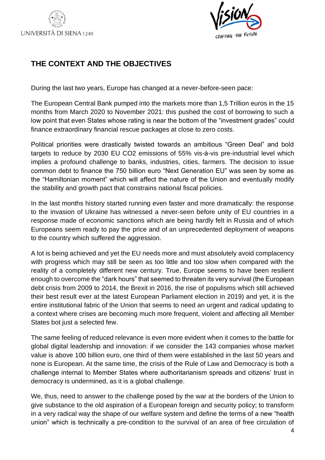



### **THE CONTEXT AND THE OBJECTIVES**

During the last two years, Europe has changed at a never-before-seen pace:

The European Central Bank pumped into the markets more than 1,5 Trillion euros in the 15 months from March 2020 to November 2021: this pushed the cost of borrowing to such a low point that even States whose rating is near the bottom of the "investment grades" could finance extraordinary financial rescue packages at close to zero costs.

Political priorities were drastically twisted towards an ambitious "Green Deal" and bold targets to reduce by 2030 EU CO2 emissions of 55% vis-à-vis pre-industrial level which implies a profound challenge to banks, industries, cities, farmers. The decision to issue common debt to finance the 750 billion euro "Next Generation EU" was seen by some as the "Hamiltonian moment" which will affect the nature of the Union and eventually modify the stability and growth pact that constrains national fiscal policies.

In the last months history started running even faster and more dramatically: the response to the invasion of Ukraine has witnessed a never-seen before unity of EU countries in a response made of economic sanctions which are being hardly felt in Russia and of which Europeans seem ready to pay the price and of an unprecedented deployment of weapons to the country which suffered the aggression.

A lot is being achieved and yet the EU needs more and must absolutely avoid complacency with progress which may still be seen as too little and too slow when compared with the reality of a completely different new century. True, Europe seems to have been resilient enough to overcome the "dark hours" that seemed to threaten its very survival (the European debt crisis from 2009 to 2014, the Brexit in 2016, the rise of populisms which still achieved their best result ever at the latest European Parliament election in 2019) and yet, it is the entire institutional fabric of the Union that seems to need an urgent and radical updating to a context where crises are becoming much more frequent, violent and affecting all Member States bot just a selected few.

The same feeling of reduced relevance is even more evident when it comes to the battle for global digital leadership and innovation: if we consider the 143 companies whose market value is above 100 billion euro, one third of them were established in the last 50 years and none is European. At the same time, the crisis of the Rule of Law and Democracy is both a challenge internal to Member States where authoritarianism spreads and citizens' trust in democracy is undermined, as it is a global challenge.

We, thus, need to answer to the challenge posed by the war at the borders of the Union to give substance to the old aspiration of a European foreign and security policy; to transform in a very radical way the shape of our welfare system and define the terms of a new "health union" which is technically a pre-condition to the survival of an area of free circulation of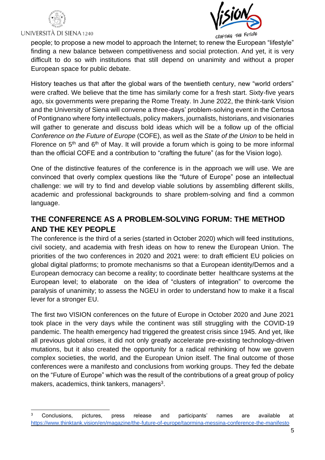



CRAFTING THE FUTURE

people; to propose a new model to approach the Internet; to renew the European "lifestyle" finding a new balance between competitiveness and social protection. And yet, it is very difficult to do so with institutions that still depend on unanimity and without a proper European space for public debate.

History teaches us that after the global wars of the twentieth century, new "world orders" were crafted. We believe that the time has similarly come for a fresh start. Sixty-five years ago, six governments were preparing the Rome Treaty. In June 2022, the think-tank Vision and the University of Siena will convene a three-days' problem-solving event in the Certosa of Pontignano where forty intellectuals, policy makers, journalists, historians, and visionaries will gather to generate and discuss bold ideas which will be a follow up of the official *Conference on the Future of Europe* (COFE), as well as the *State of the Union* to be held in Florence on  $5<sup>th</sup>$  and  $6<sup>th</sup>$  of May. It will provide a forum which is going to be more informal than the official COFE and a contribution to "crafting the future" (as for the Vision logo).

One of the distinctive features of the conference is in the approach we will use. We are convinced that overly complex questions like the "future of Europe" pose an intellectual challenge: we will try to find and develop viable solutions by assembling different skills, academic and professional backgrounds to share problem-solving and find a common language.

### <span id="page-4-0"></span>**THE CONFERENCE AS A PROBLEM-SOLVING FORUM: THE METHOD AND THE KEY PEOPLE**

The conference is the third of a series (started in October 2020) which will feed institutions, civil society, and academia with fresh ideas on how to renew the European Union. The priorities of the two conferences in 2020 and 2021 were: to draft efficient EU policies on global digital platforms; to promote mechanisms so that a European identity/Demos and a European democracy can become a reality; to coordinate better healthcare systems at the European level; to elaborate on the idea of "clusters of integration" to overcome the paralysis of unanimity; to assess the NGEU in order to understand how to make it a fiscal lever for a stronger EU.

The first two VISION conferences on the future of Europe in October 2020 and June 2021 took place in the very days while the continent was still struggling with the COVID-19 pandemic. The health emergency had triggered the greatest crisis since 1945. And yet, like all previous global crises, it did not only greatly accelerate pre-existing technology-driven mutations, but it also created the opportunity for a radical rethinking of how we govern complex societies, the world, and the European Union itself. The final outcome of those conferences were a manifesto and conclusions from working groups. They fed the debate on the "Future of Europe" which was the result of the contributions of a great group of policy makers, academics, think tankers, managers $3$ .

Conclusions, pictures, press release and participants' names are available at <https://www.thinktank.vision/en/magazine/the-future-of-europe/taormina-messina-conference-the-manifesto>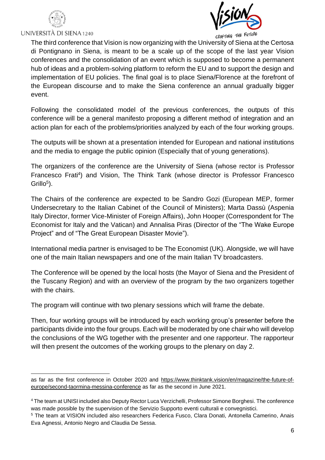



CRAFTING THE FUTURE

The third conference that Vision is now organizing with the University of Siena at the Certosa di Pontignano in Siena, is meant to be a scale up of the scope of the last year Vision conferences and the consolidation of an event which is supposed to become a permanent hub of ideas and a problem-solving platform to reform the EU and to support the design and implementation of EU policies. The final goal is to place Siena/Florence at the forefront of the European discourse and to make the Siena conference an annual gradually bigger event.

Following the consolidated model of the previous conferences, the outputs of this conference will be a general manifesto proposing a different method of integration and an action plan for each of the problems/priorities analyzed by each of the four working groups.

The outputs will be shown at a presentation intended for European and national institutions and the media to engage the public opinion (Especially that of young generations).

The organizers of the conference are the University of Siena (whose rector is Professor Francesco Frati<sup>4</sup>) and Vision, The Think Tank (whose director is Professor Francesco  $Grillo<sup>5</sup>$ ).

The Chairs of the conference are expected to be Sandro Gozi (European MEP, former Undersecretary to the Italian Cabinet of the Council of Ministers); Marta Dassù (Aspenia Italy Director, former Vice-Minister of Foreign Affairs), John Hooper (Correspondent for The Economist for Italy and the Vatican) and Annalisa Piras (Director of the "The Wake Europe Project" and of "The Great European Disaster Movie").

International media partner is envisaged to be The Economist (UK). Alongside, we will have one of the main Italian newspapers and one of the main Italian TV broadcasters.

The Conference will be opened by the local hosts (the Mayor of Siena and the President of the Tuscany Region) and with an overview of the program by the two organizers together with the chairs.

The program will continue with two plenary sessions which will frame the debate.

Then, four working groups will be introduced by each working group's presenter before the participants divide into the four groups. Each will be moderated by one chair who will develop the conclusions of the WG together with the presenter and one rapporteur. The rapporteur will then present the outcomes of the working groups to the plenary on day 2.

as far as the first conference in October 2020 and [https://www.thinktank.vision/en/magazine/the-future-of](https://www.thinktank.vision/en/magazine/the-future-of-europe/second-taormina-messina-conference)[europe/second-taormina-messina-conference](https://www.thinktank.vision/en/magazine/the-future-of-europe/second-taormina-messina-conference) as far as the second in June 2021.

<sup>4</sup> The team at UNISI included also Deputy Rector Luca Verzichelli, Professor Simone Borghesi. The conference was made possible by the supervision of the Servizio Supporto eventi culturali e convegnistici.

<sup>5</sup> The team at VISION included also researchers Federica Fusco, Clara Donati, Antonella Camerino, Anais Eva Agnessi, Antonio Negro and Claudia De Sessa.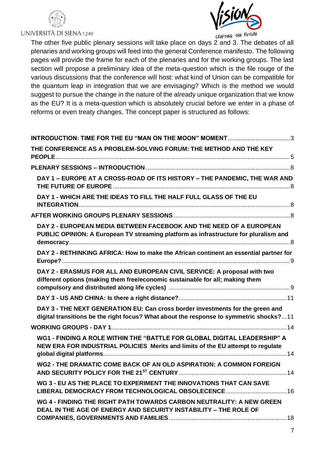



CRAFTING THE FUTURE

The other five public plenary sessions will take place on days 2 and 3. The debates of all plenaries and working groups will feed into the general Conference manifesto. The following pages will provide the frame for each of the plenaries and for the working groups. The last section will propose a preliminary idea of the meta-question which is the file rouge of the various discussions that the conference will host: what kind of Union can be compatible for the quantum leap in integration that we are envisaging? Which is the method we would suggest to pursue the change in the nature of the already unique organization that we know as the EU? It is a meta-question which is absolutely crucial before we enter in a phase of reforms or even treaty changes. The concept paper is structured as follows:

| INTRODUCTION: TIME FOR THE EU "MAN ON THE MOON" MOMENT3                                                                                                                  |
|--------------------------------------------------------------------------------------------------------------------------------------------------------------------------|
| THE CONFERENCE AS A PROBLEM-SOLVING FORUM: THE METHOD AND THE KEY                                                                                                        |
|                                                                                                                                                                          |
| DAY 1 - EUROPE AT A CROSS-ROAD OF ITS HISTORY - THE PANDEMIC, THE WAR AND                                                                                                |
| DAY 1 - WHICH ARE THE IDEAS TO FILL THE HALF FULL GLASS OF THE EU                                                                                                        |
|                                                                                                                                                                          |
| DAY 2 - EUROPEAN MEDIA BETWEEN FACEBOOK AND THE NEED OF A EUROPEAN<br>PUBLIC OPINION: A European TV streaming platform as infrastructure for pluralism and               |
| DAY 2 - RETHINKING AFRICA: How to make the African continent an essential partner for                                                                                    |
| DAY 2 - ERASMUS FOR ALL AND EUROPEAN CIVIL SERVICE: A proposal with two<br>different options (making them free/economic sustainable for all; making them                 |
|                                                                                                                                                                          |
| DAY 3 - THE NEXT GENERATION EU: Can cross border investments for the green and<br>digital transitions be the right focus? What about the response to symmetric shocks?11 |
|                                                                                                                                                                          |
| WG1 - FINDING A ROLE WITHIN THE "BATTLE FOR GLOBAL DIGITAL LEADERSHIP" A<br>NEW ERA FOR INDUSTRIAL POLICIES Merits and limits of the EU attempt to regulate              |
| WG2 - THE DRAMATIC COME BACK OF AN OLD ASPIRATION: A COMMON FOREIGN                                                                                                      |
| WG 3 - EU AS THE PLACE TO EXPERIMENT THE INNOVATIONS THAT CAN SAVE                                                                                                       |
| WG 4 - FINDING THE RIGHT PATH TOWARDS CARBON NEUTRALITY: A NEW GREEN<br>DEAL IN THE AGE OF ENERGY AND SECURITY INSTABILITY - THE ROLE OF                                 |
|                                                                                                                                                                          |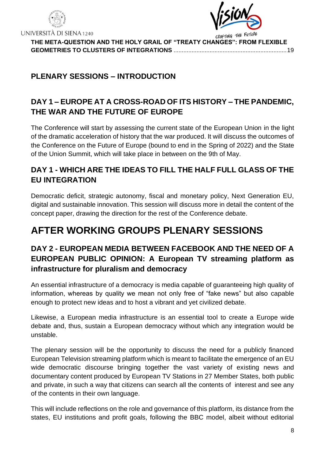



**[THE META-QUESTION AND THE HOLY GRAIL OF "TREATY CHANGES": FROM FLEXIBLE](#page-18-0)  [GEOMETRIES TO CLUSTERS OF INTEGRATIONS](#page-18-0)** .....................................................................19

### <span id="page-7-0"></span>**PLENARY SESSIONS – INTRODUCTION**

### <span id="page-7-1"></span>**DAY 1 – EUROPE AT A CROSS-ROAD OF ITS HISTORY – THE PANDEMIC, THE WAR AND THE FUTURE OF EUROPE**

The Conference will start by assessing the current state of the European Union in the light of the dramatic acceleration of history that the war produced. It will discuss the outcomes of the Conference on the Future of Europe (bound to end in the Spring of 2022) and the State of the Union Summit, which will take place in between on the 9th of May.

### <span id="page-7-2"></span>**DAY 1 - WHICH ARE THE IDEAS TO FILL THE HALF FULL GLASS OF THE EU INTEGRATION**

Democratic deficit, strategic autonomy, fiscal and monetary policy, Next Generation EU, digital and sustainable innovation. This session will discuss more in detail the content of the concept paper, drawing the direction for the rest of the Conference debate.

# <span id="page-7-3"></span>**AFTER WORKING GROUPS PLENARY SESSIONS**

### <span id="page-7-4"></span>**DAY 2 - EUROPEAN MEDIA BETWEEN FACEBOOK AND THE NEED OF A EUROPEAN PUBLIC OPINION: A European TV streaming platform as infrastructure for pluralism and democracy**

An essential infrastructure of a democracy is media capable of guaranteeing high quality of information, whereas by quality we mean not only free of "fake news" but also capable enough to protect new ideas and to host a vibrant and yet civilized debate.

Likewise, a European media infrastructure is an essential tool to create a Europe wide debate and, thus, sustain a European democracy without which any integration would be unstable.

The plenary session will be the opportunity to discuss the need for a publicly financed European Television streaming platform which is meant to facilitate the emergence of an EU wide democratic discourse bringing together the vast variety of existing news and documentary content produced by European TV Stations in 27 Member States, both public and private, in such a way that citizens can search all the contents of interest and see any of the contents in their own language.

This will include reflections on the role and governance of this platform, its distance from the states, EU institutions and profit goals, following the BBC model, albeit without editorial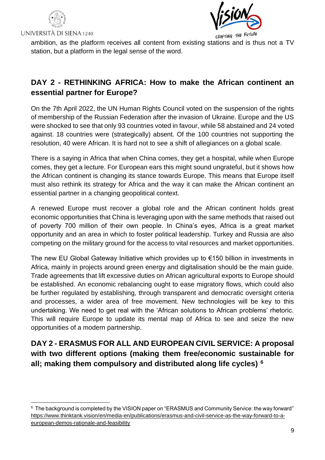



CRAFTING THE FUTURE

ambition, as the platform receives all content from existing stations and is thus not a TV station, but a platform in the legal sense of the word.

### <span id="page-8-0"></span>**DAY 2 - RETHINKING AFRICA: How to make the African continent an essential partner for Europe?**

On the 7th April 2022, the UN Human Rights Council voted on the suspension of the rights of membership of the Russian Federation after the invasion of Ukraine. Europe and the US were shocked to see that only 93 countries voted in favour, while 58 abstained and 24 voted against. 18 countries were (strategically) absent. Of the 100 countries not supporting the resolution, 40 were African. It is hard not to see a shift of allegiances on a global scale.

There is a saying in Africa that when China comes, they get a hospital, while when Europe comes, they get a lecture. For European ears this might sound ungrateful, but it shows how the African continent is changing its stance towards Europe. This means that Europe itself must also rethink its strategy for Africa and the way it can make the African continent an essential partner in a changing geopolitical context.

A renewed Europe must recover a global role and the African continent holds great economic opportunities that China is leveraging upon with the same methods that raised out of poverty 700 million of their own people. In China's eyes, Africa is a great market opportunity and an area in which to foster political leadership. Turkey and Russia are also competing on the military ground for the access to vital resources and market opportunities.

The new EU Global Gateway Initiative which provides up to €150 billion in investments in Africa, mainly in projects around green energy and digitalisation should be the main guide. Trade agreements that lift excessive duties on African agricultural exports to Europe should be established. An economic rebalancing ought to ease migratory flows, which could also be further regulated by establishing, through transparent and democratic oversight criteria and processes, a wider area of free movement. New technologies will be key to this undertaking. We need to get real with the 'African solutions to African problems' rhetoric. This will require Europe to update its mental map of Africa to see and seize the new opportunities of a modern partnership.

### <span id="page-8-1"></span>**DAY 2 - ERASMUS FOR ALL AND EUROPEAN CIVIL SERVICE: A proposal with two different options (making them free/economic sustainable for all; making them compulsory and distributed along life cycles) 6**

 $^6$  The background is completed by the VISION paper on "ERASMUS and Community Service: the way forward" [https://www.thinktank.vision/en/media-en/publications/erasmus-and-civil-service-as-the-way-forward-to-a](https://www.thinktank.vision/en/media-en/publications/erasmus-and-civil-service-as-the-way-forward-to-a-european-demos-rationale-and-feasibility)[european-demos-rationale-and-feasibility](https://www.thinktank.vision/en/media-en/publications/erasmus-and-civil-service-as-the-way-forward-to-a-european-demos-rationale-and-feasibility)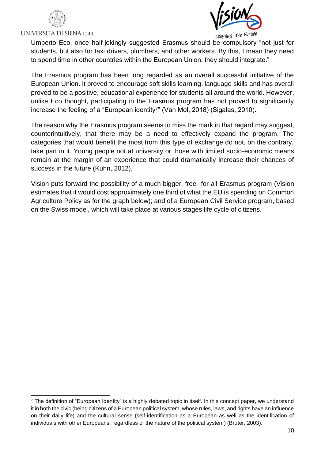



CRAFTING THE FUTURE

Umberto Eco, once half-jokingly suggested Erasmus should be compulsory "not just for students, but also for taxi drivers, plumbers, and other workers. By this, I mean they need to spend time in other countries within the European Union; they should integrate."

The Erasmus program has been long regarded as an overall successful initiative of the European Union. It proved to encourage soft skills learning, language skills and has overall proved to be a positive, educational experience for students all around the world. However, unlike Eco thought, participating in the Erasmus program has not proved to significantly increase the feeling of a "European identity<sup>7</sup>" (Van Mol, 2018) (Sigalas, 2010).

The reason why the Erasmus program seems to miss the mark in that regard may suggest, counterintuitively, that there may be a need to effectively expand the program. The categories that would benefit the most from this type of exchange do not, on the contrary, take part in it. Young people not at university or those with limited socio-economic means remain at the margin of an experience that could dramatically increase their chances of success in the future (Kuhn, 2012).

Vision puts forward the possibility of a much bigger, free- for-all Erasmus program (Vision estimates that it would cost approximately one third of what the EU is spending on Common Agriculture Policy as for the graph below); and of a European Civil Service program, based on the Swiss model, which will take place at various stages life cycle of citizens.

 $<sup>7</sup>$  The definition of "European Identity" is a highly debated topic in itself. In this concept paper, we understand</sup> it in both the civic (being citizens of a European political system, whose rules, laws, and rights have an influence on their daily life) and the cultural sense (self-identification as a European as well as the identification of individuals with other Europeans, regardless of the nature of the political system) (Bruter, 2003).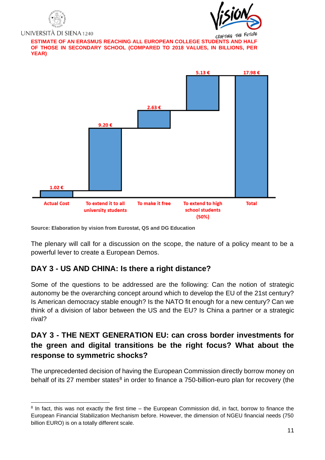



CRAFTING THE FUTURE **OF THOSE IN SECONDARY SCHOOL (COMPARED TO 2018 VALUES, IN BILLIONS, PER YEAR)**



**Source: Elaboration by vision from Eurostat, QS and DG Education**

The plenary will call for a discussion on the scope, the nature of a policy meant to be a powerful lever to create a European Demos.

#### <span id="page-10-0"></span>**DAY 3 - US AND CHINA: Is there a right distance?**

Some of the questions to be addressed are the following: Can the notion of strategic autonomy be the overarching concept around which to develop the EU of the 21st century? Is American democracy stable enough? Is the NATO fit enough for a new century? Can we think of a division of labor between the US and the EU? Is China a partner or a strategic rival?

### <span id="page-10-1"></span>**DAY 3 - THE NEXT GENERATION EU: can cross border investments for the green and digital transitions be the right focus? What about the response to symmetric shocks?**

The unprecedented decision of having the European Commission directly borrow money on behalf of its 27 member states<sup>8</sup> in order to finance a 750-billion-euro plan for recovery (the

<sup>&</sup>lt;sup>8</sup> In fact, this was not exactly the first time – the European Commission did, in fact, borrow to finance the European Financial Stabilization Mechanism before. However, the dimension of NGEU financial needs (750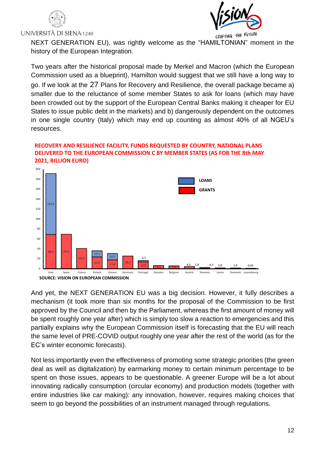



CRAFTING THE FUTURE

NEXT GENERATION EU), was rightly welcome as the "HAMILTONIAN" moment in the history of the European Integration.

Two years after the historical proposal made by Merkel and Macron (which the European Commission used as a blueprint), Hamilton would suggest that we still have a long way to go. If we look at the 27 Plans for Recovery and Resilience, the overall package became a) smaller due to the reluctance of some member States to ask for loans (which may have been crowded out by the support of the European Central Banks making it cheaper for EU States to issue public debt in the markets) and b) dangerously dependent on the outcomes in one single country (Italy) which may end up counting as almost 40% of all NGEU's resources.

#### **RECOVERY AND RESILIENCE FACILITY, FUNDS REQUESTED BY COUNTRY, NATIONAL PLANS DELIVERED TO THE EUROPEAN COMMISSION C BY MEMBER STATES (AS FOR THE 8th MAY 2021, BILLION EURO)**



And yet, the NEXT GENERATION EU was a big decision. However, it fully describes a mechanism (it took more than six months for the proposal of the Commission to be first approved by the Council and then by the Parliament, whereas the first amount of money will be spent roughly one year after) which is simply too slow a reaction to emergencies and this partially explains why the European Commission itself is forecasting that the EU will reach the same level of PRE-COVID output roughly one year after the rest of the world (as for the EC's winter economic forecasts).

Not less importantly even the effectiveness of promoting some strategic priorities (the green deal as well as digitalization) by earmarking money to certain minimum percentage to be spent on those issues, appears to be questionable. A greener Europe will be a lot about innovating radically consumption (circular economy) and production models (together with entire industries like car making): any innovation, however, requires making choices that seem to go beyond the possibilities of an instrument managed through regulations.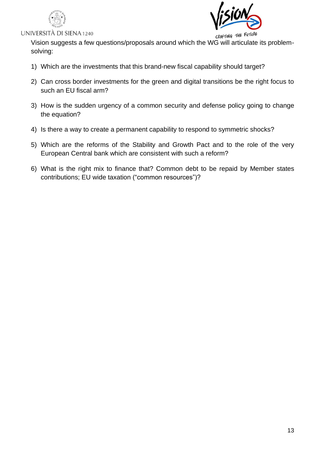



Vision suggests a few questions/proposals around which the WG will articulate its problemsolving:

- 1) Which are the investments that this brand-new fiscal capability should target?
- 2) Can cross border investments for the green and digital transitions be the right focus to such an EU fiscal arm?
- 3) How is the sudden urgency of a common security and defense policy going to change the equation?
- 4) Is there a way to create a permanent capability to respond to symmetric shocks?
- 5) Which are the reforms of the Stability and Growth Pact and to the role of the very European Central bank which are consistent with such a reform?
- 6) What is the right mix to finance that? Common debt to be repaid by Member states contributions; EU wide taxation ("common resources")?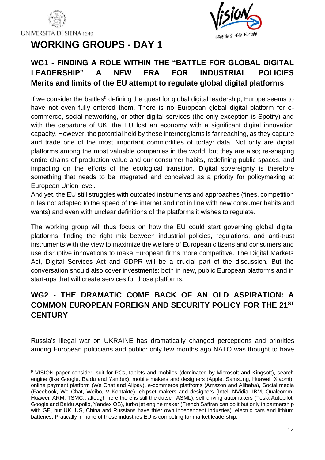



### <span id="page-13-1"></span><span id="page-13-0"></span>**WG1 - FINDING A ROLE WITHIN THE "BATTLE FOR GLOBAL DIGITAL LEADERSHIP" A NEW ERA FOR INDUSTRIAL POLICIES Merits and limits of the EU attempt to regulate global digital platforms**

If we consider the battles<sup>9</sup> defining the quest for global digital leadership, Europe seems to have not even fully entered them. There is no European global digital platform for ecommerce, social networking, or other digital services (the only exception is Spotify) and with the departure of UK, the EU lost an economy with a significant digital innovation capacity. However, the potential held by these internet giants is far reaching, as they capture and trade one of the most important commodities of today: data. Not only are digital platforms among the most valuable companies in the world, but they are also; re-shaping entire chains of production value and our consumer habits, redefining public spaces, and impacting on the efforts of the ecological transition. Digital sovereignty is therefore something that needs to be integrated and conceived as a priority for policymaking at European Union level.

And yet, the EU still struggles with outdated instruments and approaches (fines, competition rules not adapted to the speed of the internet and not in line with new consumer habits and wants) and even with unclear definitions of the platforms it wishes to regulate.

The working group will thus focus on how the EU could start governing global digital platforms, finding the right mix between industrial policies, regulations, and anti-trust instruments with the view to maximize the welfare of European citizens and consumers and use disruptive innovations to make European firms more competitive. The Digital Markets Act, Digital Services Act and GDPR will be a crucial part of the discussion. But the conversation should also cover investments: both in new, public European platforms and in start-ups that will create services for those platforms.

### <span id="page-13-2"></span>**WG2 - THE DRAMATIC COME BACK OF AN OLD ASPIRATION: A COMMON EUROPEAN FOREIGN AND SECURITY POLICY FOR THE 21ST CENTURY**

Russia's illegal war on UKRAINE has dramatically changed perceptions and priorities among European politicians and public: only few months ago NATO was thought to have

<sup>9</sup> VISION paper consider: suit for PCs, tablets and mobiles (dominated by Microsoft and Kingsoft), search engine (like Google, Baidu and Yandex), mobile makers and designers (Apple, Samsung, Huawei, Xiaomi), online payment platform (We Chat and Alipay), e-commerce platfroms (Amazon and Alibaba), Social media (Facebook, We Chat, Weibo, V Kontakte), chipset makers and designers (Intel, NVidia, IBM, Qualcomm, Huawei, ARM, TSMC.. altough here there is still the dutsch ASML), self-driving automakers (Tesla Autopilot, Google and Baidu Apollo, Yandex OS), turbo jet engine maker (French Saffran can do it but only in partnership with GE, but UK, US, China and Russians have thier own independent industies), electric cars and lithium batteries. Pratically in none of these industries EU is competing for market leadership.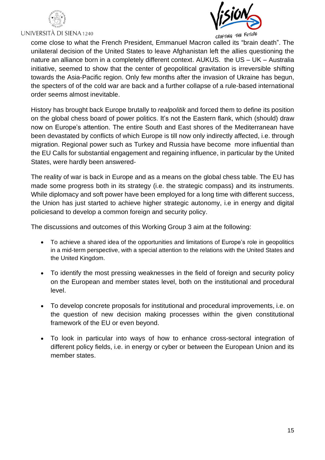





CRAFTING THE FUTURE

come close to what the French President, Emmanuel Macron called its "brain death". The unilateral decision of the United States to leave Afghanistan left the allies questioning the nature an alliance born in a completely different context. AUKUS. the US – UK – Australia initiative, seemed to show that the center of geopolitical gravitation is irreversible shifting towards the Asia-Pacific region. Only few months after the invasion of Ukraine has begun, the specters of of the cold war are back and a further collapse of a rule-based international order seems almost inevitable.

History has brought back Europe brutally to *realpolitik* and forced them to define its position on the global chess board of power politics. It's not the Eastern flank, which (should) draw now on Europe's attention. The entire South and East shores of the Mediterranean have been devastated by conflicts of which Europe is till now only indirectly affected, i.e. through migration. Regional power such as Turkey and Russia have become more influential than the EU Calls for substantial engagement and regaining influence, in particular by the United States, were hardly been answered-

The reality of war is back in Europe and as a means on the global chess table. The EU has made some progress both in its strategy (i.e. the strategic compass) and its instruments. While diplomacy and soft power have been employed for a long time with different success, the Union has just started to achieve higher strategic autonomy, i.e in energy and digital policiesand to develop a common foreign and security policy.

The discussions and outcomes of this Working Group 3 aim at the following:

- To achieve a shared idea of the opportunities and limitations of Europe's role in geopolitics in a mid-term perspective, with a special attention to the relations with the United States and the United Kingdom.
- To identify the most pressing weaknesses in the field of foreign and security policy on the European and member states level, both on the institutional and procedural level.
- To develop concrete proposals for institutional and procedural improvements, i.e. on the question of new decision making processes within the given constitutional framework of the EU or even beyond.
- To look in particular into ways of how to enhance cross-sectoral integration of different policy fields, i.e. in energy or cyber or between the European Union and its member states.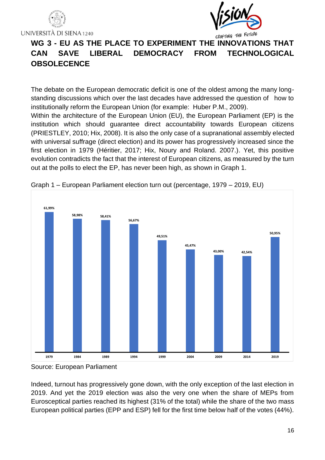



### <span id="page-15-0"></span>**WG 3 - EU AS THE PLACE TO EXPERIMENT THE INNOVATIONS THAT CAN SAVE LIBERAL DEMOCRACY FROM TECHNOLOGICAL OBSOLECENCE**

The debate on the European democratic deficit is one of the oldest among the many longstanding discussions which over the last decades have addressed the question of how to institutionally reform the European Union (for example: Huber P.M., 2009).

Within the architecture of the European Union (EU), the European Parliament (EP) is the institution which should guarantee direct accountability towards European citizens (PRIESTLEY, 2010; Hix, 2008). It is also the only case of a supranational assembly elected with universal suffrage (direct election) and its power has progressively increased since the first election in 1979 (Héritier, 2017; Hix, Noury and Roland. 2007.). Yet, this positive evolution contradicts the fact that the interest of European citizens, as measured by the turn out at the polls to elect the EP, has never been high, as shown in Graph 1.



Graph 1 – European Parliament election turn out (percentage, 1979 – 2019, EU)

Indeed, turnout has progressively gone down, with the only exception of the last election in 2019. And yet the 2019 election was also the very one when the share of MEPs from Eurosceptical parties reached its highest (31% of the total) while the share of the two mass European political parties (EPP and ESP) fell for the first time below half of the votes (44%).

Source: European Parliament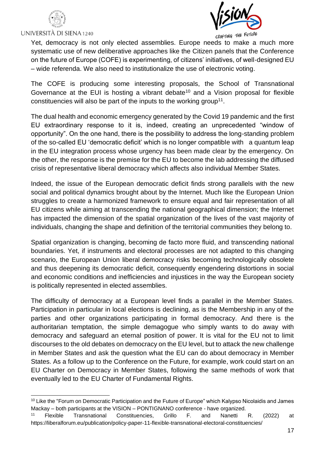



CRAFTING THE FUTURE

Yet, democracy is not only elected assemblies. Europe needs to make a much more systematic use of new deliberative approaches like the Citizen panels that the Conference on the future of Europe (COFE) is experimenting, of citizens' initiatives, of well-designed EU – wide referenda. We also need to institutionalize the use of electronic voting.

The COFE is producing some interesting proposals, the School of Transnational Governance at the EUI is hosting a vibrant debate<sup>10</sup> and a Vision proposal for flexible constituencies will also be part of the inputs to the working group<sup>11</sup>.

The dual health and economic emergency generated by the Covid 19 pandemic and the first EU extraordinary response to it is, indeed, creating an unprecedented "window of opportunity". On the one hand, there is the possibility to address the long-standing problem of the so-called EU 'democratic deficit' which is no longer compatible with a quantum leap in the EU integration process whose urgency has been made clear by the emergency. On the other, the response is the premise for the EU to become the lab addressing the diffused crisis of representative liberal democracy which affects also individual Member States.

Indeed, the issue of the European democratic deficit finds strong parallels with the new social and political dynamics brought about by the Internet. Much like the European Union struggles to create a harmonized framework to ensure equal and fair representation of all EU citizens while aiming at transcending the national geographical dimension; the Internet has impacted the dimension of the spatial organization of the lives of the vast majority of individuals, changing the shape and definition of the territorial communities they belong to.

Spatial organization is changing, becoming de facto more fluid, and transcending national boundaries. Yet, if instruments and electoral processes are not adapted to this changing scenario, the European Union liberal democracy risks becoming technologically obsolete and thus deepening its democratic deficit, consequently engendering distortions in social and economic conditions and inefficiencies and injustices in the way the European society is politically represented in elected assemblies.

The difficulty of democracy at a European level finds a parallel in the Member States. Participation in particular in local elections is declining, as is the Membership in any of the parties and other organizations participating in formal democracy. And there is the authoritarian temptation, the simple demagogue who simply wants to do away with democracy and safeguard an eternal position of power. It is vital for the EU not to limit discourses to the old debates on democracy on the EU level, but to attack the new challenge in Member States and ask the question what the EU can do about democracy in Member States. As a follow up to the Conference on the Future, for example, work could start on an EU Charter on Democracy in Member States, following the same methods of work that eventually led to the EU Charter of Fundamental Rights.

<sup>&</sup>lt;sup>10</sup> Like the "Forum on Democratic Participation and the Future of Europe" which Kalypso Nicolaidis and James Mackay – both participants at the VISION – PONTIGNANO conference - have organized.

<sup>11</sup> Flexible Transnational Constituencies, Grillo F. and Nanetti R. (2022) at https://liberalforum.eu/publication/policy-paper-11-flexible-transnational-electoral-constituencies/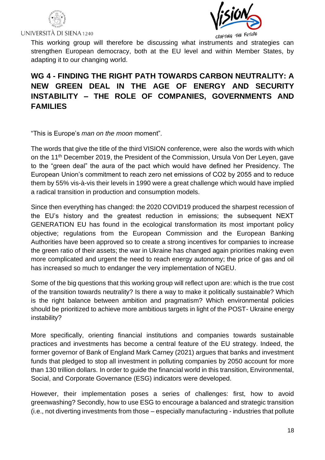



CRAFTING THE FUTURE

This working group will therefore be discussing what instruments and strategies can strengthen European democracy, both at the EU level and within Member States, by adapting it to our changing world.

### <span id="page-17-0"></span>**WG 4 - FINDING THE RIGHT PATH TOWARDS CARBON NEUTRALITY: A NEW GREEN DEAL IN THE AGE OF ENERGY AND SECURITY INSTABILITY – THE ROLE OF COMPANIES, GOVERNMENTS AND FAMILIES**

"This is Europe's *man on the moon* moment".

The words that give the title of the third VISION conference, were also the words with which on the 11<sup>th</sup> December 2019, the President of the Commission, Ursula Von Der Leyen, gave to the "green deal" the aura of the pact which would have defined her Presidency. The European Union's commitment to reach zero net emissions of CO2 by 2055 and to reduce them by 55% vis-à-vis their levels in 1990 were a great challenge which would have implied a radical transition in production and consumption models.

Since then everything has changed: the 2020 COVID19 produced the sharpest recession of the EU's history and the greatest reduction in emissions; the subsequent NEXT GENERATION EU has found in the ecological transformation its most important policy objective; regulations from the European Commission and the European Banking Authorities have been approved so to create a strong incentives for companies to increase the green ratio of their assets; the war in Ukraine has changed again priorities making even more complicated and urgent the need to reach energy autonomy; the price of gas and oil has increased so much to endanger the very implementation of NGEU.

Some of the big questions that this working group will reflect upon are: which is the true cost of the transition towards neutrality? Is there a way to make it politically sustainable? Which is the right balance between ambition and pragmatism? Which environmental policies should be prioritized to achieve more ambitious targets in light of the POST- Ukraine energy instability?

More specifically, orienting financial institutions and companies towards sustainable practices and investments has become a central feature of the EU strategy. Indeed, the former governor of Bank of England Mark Carney (2021) argues that banks and investment funds that pledged to stop all investment in polluting companies by 2050 account for more than 130 trillion dollars. In order to guide the financial world in this transition, Environmental, Social, and Corporate Governance (ESG) indicators were developed.

However, their implementation poses a series of challenges: first, how to avoid greenwashing? Secondly, how to use ESG to encourage a balanced and strategic transition (i.e., not diverting investments from those – especially manufacturing - industries that pollute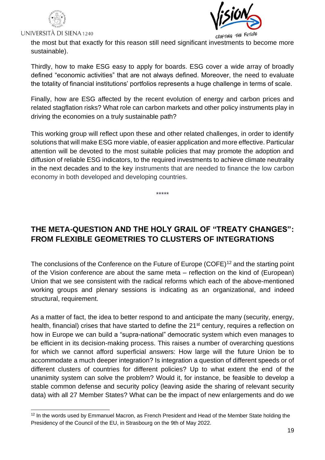



the most but that exactly for this reason still need significant investments to become more sustainable).

Thirdly, how to make ESG easy to apply for boards. ESG cover a wide array of broadly defined "economic activities" that are not always defined. Moreover, the need to evaluate the totality of financial institutions' portfolios represents a huge challenge in terms of scale.

Finally, how are ESG affected by the recent evolution of energy and carbon prices and related stagflation risks? What role can carbon markets and other policy instruments play in driving the economies on a truly sustainable path?

This working group will reflect upon these and other related challenges, in order to identify solutions that will make ESG more viable, of easier application and more effective. Particular attention will be devoted to the most suitable policies that may promote the adoption and diffusion of reliable ESG indicators, to the required investments to achieve climate neutrality in the next decades and to the key instruments that are needed to finance the low carbon economy in both developed and developing countries.

\*\*\*\*\*

### <span id="page-18-0"></span>**THE META-QUESTION AND THE HOLY GRAIL OF "TREATY CHANGES": FROM FLEXIBLE GEOMETRIES TO CLUSTERS OF INTEGRATIONS**

The conclusions of the Conference on the Future of Europe (COFE)<sup>12</sup> and the starting point of the Vision conference are about the same meta – reflection on the kind of (European) Union that we see consistent with the radical reforms which each of the above-mentioned working groups and plenary sessions is indicating as an organizational, and indeed structural, requirement.

As a matter of fact, the idea to better respond to and anticipate the many (security, energy, health, financial) crises that have started to define the 21<sup>st</sup> century, requires a reflection on how in Europe we can build a "supra-national" democratic system which even manages to be efficient in its decision-making process. This raises a number of overarching questions for which we cannot afford superficial answers: How large will the future Union be to accommodate a much deeper integration? Is integration a question of different speeds or of different clusters of countries for different policies? Up to what extent the end of the unanimity system can solve the problem? Would it, for instance, be feasible to develop a stable common defense and security policy (leaving aside the sharing of relevant security data) with all 27 Member States? What can be the impact of new enlargements and do we

<sup>&</sup>lt;sup>12</sup> In the words used by Emmanuel Macron, as French President and Head of the Member State holding the Presidency of the Council of the EU, in Strasbourg on the 9th of May 2022.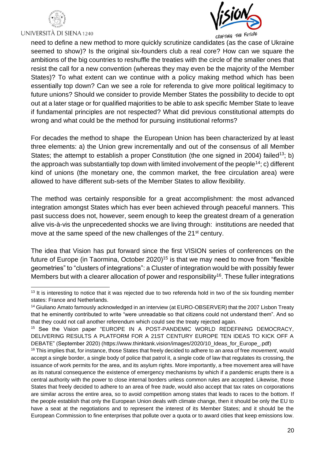



CRAFTING THE FUTURE

need to define a new method to more quickly scrutinize candidates (as the case of Ukraine seemed to show)? Is the original six-founders club a real core? How can we square the ambitions of the big countries to reshuffle the treaties with the circle of the smaller ones that resist the call for a new convention (whereas they may even be the majority of the Member States)? To what extent can we continue with a policy making method which has been essentially top down? Can we see a role for referenda to give more political legitimacy to future unions? Should we consider to provide Member States the possibility to decide to opt out at a later stage or for qualified majorities to be able to ask specific Member State to leave if fundamental principles are not respected? What did previous constitutional attempts do wrong and what could be the method for pursuing institutional reforms?

For decades the method to shape the European Union has been characterized by at least three elements: a) the Union grew incrementally and out of the consensus of all Member States; the attempt to establish a proper Constitution (the one signed in 2004) failed<sup>13</sup>; b) the approach was substantially top down with limited involvement of the people<sup>14</sup>; c) different kind of unions (the monetary one, the common market, the free circulation area) were allowed to have different sub-sets of the Member States to allow flexibility.

The method was certainly responsible for a great accomplishment: the most advanced integration amongst States which has ever been achieved through peaceful manners. This past success does not, however, seem enough to keep the greatest dream of a generation alive vis-à-vis the unprecedented shocks we are living through: institutions are needed that move at the same speed of the new challenges of the 21<sup>st</sup> century.

The idea that Vision has put forward since the first VISION series of conferences on the future of Europe (in Taormina, October 2020)<sup>15</sup> is that we may need to move from "flexible geometries" to "clusters of integrations": a Cluster of integration would be with possibly fewer Members but with a clearer allocation of power and responsibility<sup>16</sup>. These fuller integrations

<sup>&</sup>lt;sup>13</sup> It is interesting to notice that it was rejected due to two referenda hold in two of the six founding member states: France and Netherlands.

<sup>&</sup>lt;sup>14</sup> Giuliano Amato famously acknowledged in an interview (at EURO-OBSERVER) that the 2007 Lisbon Treaty that he eminently contributed to write "were unreadable so that citizens could not understand them". And so that they could not call another referendum which could see the treaty rejected again.

<sup>15</sup> See the Vision paper "EUROPE IN A POST-PANDEMIC WORLD REDEFINING DEMOCRACY, DELIVERING RESULTS A PLATFORM FOR A 21ST CENTURY EUROPE TEN IDEAS TO KICK OFF A DEBATE" (September 2020) (https://www.thinktank.vision/images/2020/10\_Ideas\_for\_Europe\_.pdf)

<sup>16</sup> This implies that, for instance, those States that freely decided to adhere to an area of free *movement*, would accept a single border, a single body of police that patrol it, a single code of law that regulates its crossing, the issuance of work permits for the area, and its asylum rights. More importantly, a free movement area will have as its natural consequence the existence of emergency mechanisms by which if a pandemic erupts there is a central authority with the power to close internal borders unless common rules are accepted. Likewise, those States that freely decided to adhere to an area of free *trade*, would also accept that tax rates on corporations are similar across the entire area, so to avoid competition among states that leads to races to the bottom. If the people establish that only the European Union deals with climate change, then it should be only the EU to have a seat at the negotiations and to represent the interest of its Member States; and it should be the European Commission to fine enterprises that pollute over a quota or to award cities that keep emissions low.